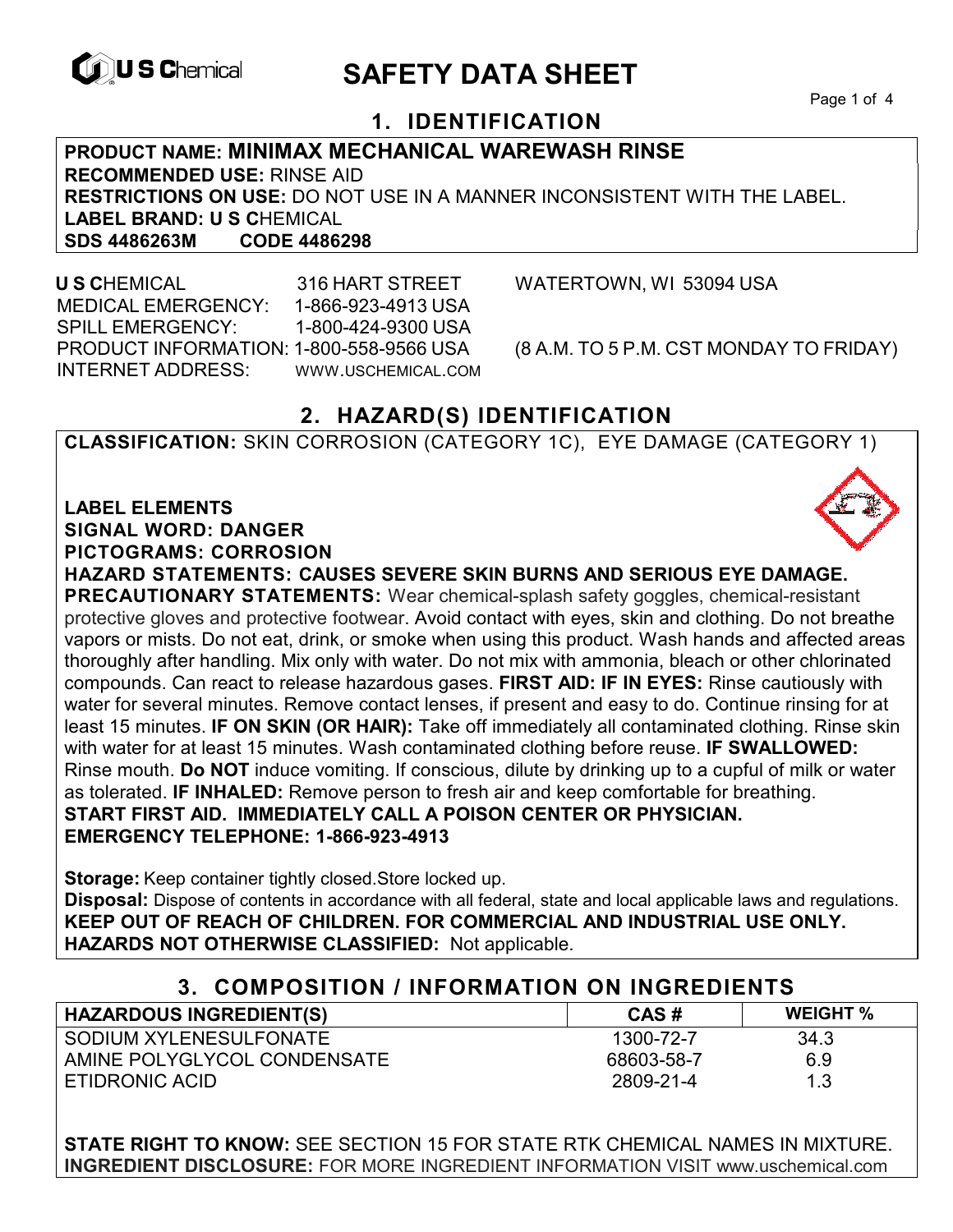

# **EXAGREM** SAFETY DATA SHEET

Page 1 of 4

### **1. IDENTIFICATION**

**PRODUCT NAME: MINIMAX MECHANICAL WAREWASH RINSE RECOMMENDED USE:** RINSE AID **RESTRICTIONS ON USE:** DO NOT USE IN A MANNER INCONSISTENT WITH THE LABEL. LABEL BRAND: U S CHEMICAL<br>SDS 4486263M CODE 4486298 **SDS 4486263M CODE 4486298** 

 **U S C**HEMICAL 316 HART STREET WATERTOWN, WI 53094 USA MEDICAL EMERGENCY: 1-866-923-4913 USA SPILL EMERGENCY: 1-800-424-9300 USA PRODUCT INFORMATION: 1-800-558-9566 USA (8 A.M. TO 5 P.M. CST MONDAY TO FRIDAY) INTERNET ADDRESS: WWW.USCHEMICAL.COM

### **2. HAZARD(S) IDENTIFICATION**

**CLASSIFICATION:** SKIN CORROSION (CATEGORY 1C), EYE DAMAGE (CATEGORY 1)

**LABEL ELEMENTS SIGNAL WORD: DANGER PICTOGRAMS: CORROSION**



**HAZARD STATEMENTS: CAUSES SEVERE SKIN BURNS AND SERIOUS EYE DAMAGE.** 

**PRECAUTIONARY STATEMENTS:** Wear chemical-splash safety goggles, chemical-resistant protective gloves and protective footwear. Avoid contact with eyes, skin and clothing. Do not breathe vapors or mists. Do not eat, drink, or smoke when using this product. Wash hands and affected areas thoroughly after handling. Mix only with water. Do not mix with ammonia, bleach or other chlorinated compounds. Can react to release hazardous gases. **FIRST AID: IF IN EYES:** Rinse cautiously with water for several minutes. Remove contact lenses, if present and easy to do. Continue rinsing for at least 15 minutes. **IF ON SKIN (OR HAIR):** Take off immediately all contaminated clothing. Rinse skin with water for at least 15 minutes. Wash contaminated clothing before reuse. **IF SWALLOWED:**  Rinse mouth. **Do NOT** induce vomiting. If conscious, dilute by drinking up to a cupful of milk or water as tolerated. **IF INHALED:** Remove person to fresh air and keep comfortable for breathing. **START FIRST AID. IMMEDIATELY CALL A POISON CENTER OR PHYSICIAN. EMERGENCY TELEPHONE: 1-866-923-4913** 

**Storage:** Keep container tightly closed.Store locked up. **Disposal:** Dispose of contents in accordance with all federal, state and local applicable laws and regulations. **KEEP OUT OF REACH OF CHILDREN. FOR COMMERCIAL AND INDUSTRIAL USE ONLY. HAZARDS NOT OTHERWISE CLASSIFIED:** Not applicable.

### **3. COMPOSITION / INFORMATION ON INGREDIENTS**

| <b>HAZARDOUS INGREDIENT(S)</b> | CAS#       | <b>WEIGHT %</b> |
|--------------------------------|------------|-----------------|
| SODIUM XYLENESULFONATE         | 1300-72-7  | 34.3            |
| AMINE POLYGLYCOL CONDENSATE    | 68603-58-7 | 6.9             |
| ETIDRONIC ACID                 | 2809-21-4  | 1.3             |

**STATE RIGHT TO KNOW:** SEE SECTION 15 FOR STATE RTK CHEMICAL NAMES IN MIXTURE. **INGREDIENT DISCLOSURE:** FOR MORE INGREDIENT INFORMATION VISIT www.uschemical.com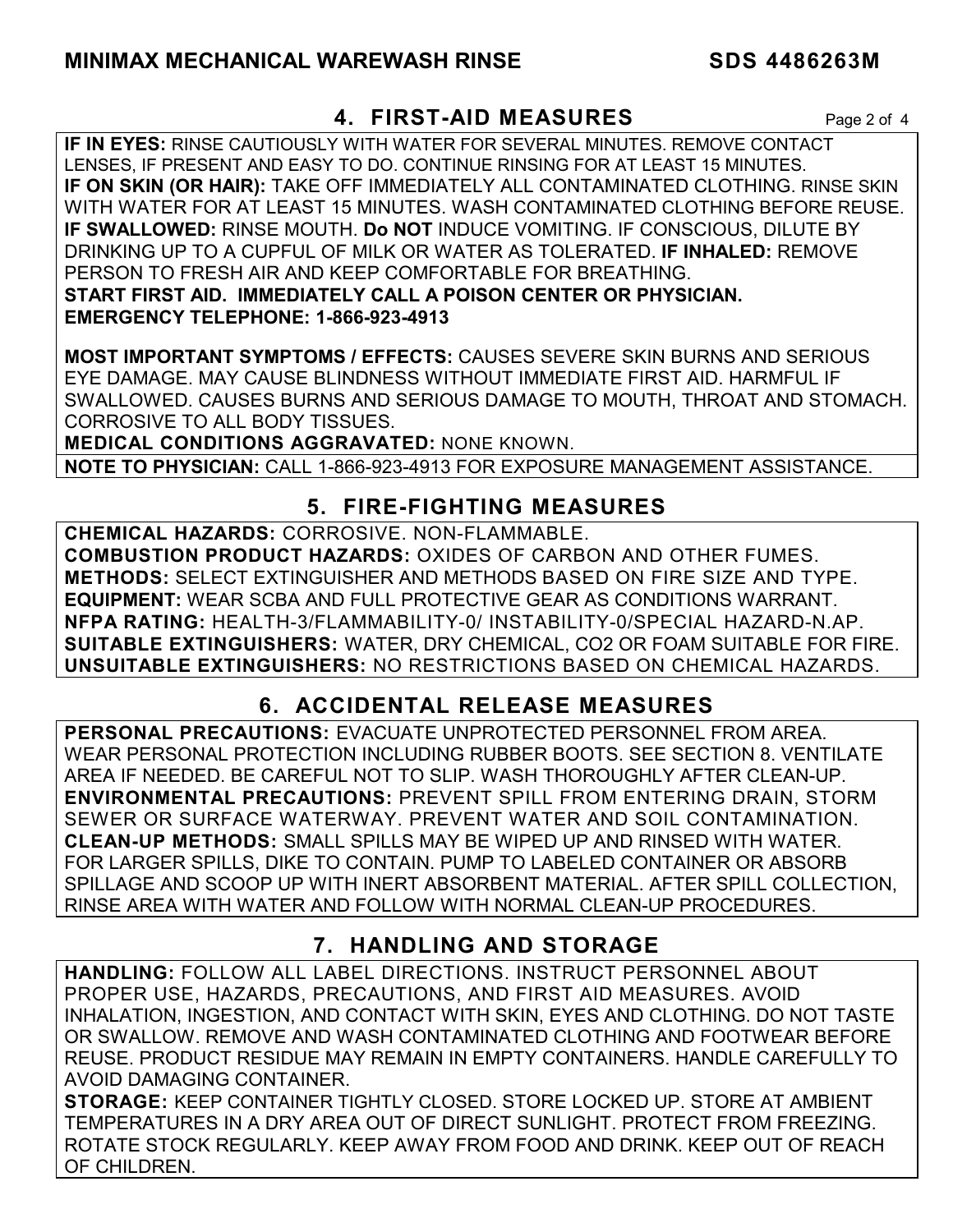### **4. FIRST-AID MEASURES** Page 2 of 4

**IF IN EYES:** RINSE CAUTIOUSLY WITH WATER FOR SEVERAL MINUTES. REMOVE CONTACT LENSES, IF PRESENT AND EASY TO DO. CONTINUE RINSING FOR AT LEAST 15 MINUTES. **IF ON SKIN (OR HAIR):** TAKE OFF IMMEDIATELY ALL CONTAMINATED CLOTHING. RINSE SKIN WITH WATER FOR AT LEAST 15 MINUTES. WASH CONTAMINATED CLOTHING BEFORE REUSE. **IF SWALLOWED:** RINSE MOUTH. **Do NOT** INDUCE VOMITING. IF CONSCIOUS, DILUTE BY DRINKING UP TO A CUPFUL OF MILK OR WATER AS TOLERATED. **IF INHALED:** REMOVE PERSON TO FRESH AIR AND KEEP COMFORTABLE FOR BREATHING. **START FIRST AID. IMMEDIATELY CALL A POISON CENTER OR PHYSICIAN. EMERGENCY TELEPHONE: 1-866-923-4913**

**MOST IMPORTANT SYMPTOMS / EFFECTS:** CAUSES SEVERE SKIN BURNS AND SERIOUS EYE DAMAGE. MAY CAUSE BLINDNESS WITHOUT IMMEDIATE FIRST AID. HARMFUL IF SWALLOWED. CAUSES BURNS AND SERIOUS DAMAGE TO MOUTH, THROAT AND STOMACH. CORROSIVE TO ALL BODY TISSUES.

**MEDICAL CONDITIONS AGGRAVATED:** NONE KNOWN.

**NOTE TO PHYSICIAN:** CALL 1-866-923-4913 FOR EXPOSURE MANAGEMENT ASSISTANCE.

### **5. FIRE-FIGHTING MEASURES**

**CHEMICAL HAZARDS:** CORROSIVE. NON-FLAMMABLE. **COMBUSTION PRODUCT HAZARDS:** OXIDES OF CARBON AND OTHER FUMES. **METHODS:** SELECT EXTINGUISHER AND METHODS BASED ON FIRE SIZE AND TYPE. **EQUIPMENT:** WEAR SCBA AND FULL PROTECTIVE GEAR AS CONDITIONS WARRANT. **NFPA RATING:** HEALTH-3/FLAMMABILITY-0/ INSTABILITY-0/SPECIAL HAZARD-N.AP. **SUITABLE EXTINGUISHERS:** WATER, DRY CHEMICAL, CO2 OR FOAM SUITABLE FOR FIRE. **UNSUITABLE EXTINGUISHERS:** NO RESTRICTIONS BASED ON CHEMICAL HAZARDS.

## **6. ACCIDENTAL RELEASE MEASURES**

**PERSONAL PRECAUTIONS:** EVACUATE UNPROTECTED PERSONNEL FROM AREA. WEAR PERSONAL PROTECTION INCLUDING RUBBER BOOTS. SEE SECTION 8. VENTILATE AREA IF NEEDED. BE CAREFUL NOT TO SLIP. WASH THOROUGHLY AFTER CLEAN-UP. **ENVIRONMENTAL PRECAUTIONS:** PREVENT SPILL FROM ENTERING DRAIN, STORM SEWER OR SURFACE WATERWAY. PREVENT WATER AND SOIL CONTAMINATION. **CLEAN-UP METHODS:** SMALL SPILLS MAY BE WIPED UP AND RINSED WITH WATER. FOR LARGER SPILLS, DIKE TO CONTAIN. PUMP TO LABELED CONTAINER OR ABSORB SPILLAGE AND SCOOP UP WITH INERT ABSORBENT MATERIAL. AFTER SPILL COLLECTION, RINSE AREA WITH WATER AND FOLLOW WITH NORMAL CLEAN-UP PROCEDURES.

### **7. HANDLING AND STORAGE**

**HANDLING:** FOLLOW ALL LABEL DIRECTIONS. INSTRUCT PERSONNEL ABOUT PROPER USE, HAZARDS, PRECAUTIONS, AND FIRST AID MEASURES. AVOID INHALATION, INGESTION, AND CONTACT WITH SKIN, EYES AND CLOTHING. DO NOT TASTE OR SWALLOW. REMOVE AND WASH CONTAMINATED CLOTHING AND FOOTWEAR BEFORE REUSE. PRODUCT RESIDUE MAY REMAIN IN EMPTY CONTAINERS. HANDLE CAREFULLY TO AVOID DAMAGING CONTAINER.

**STORAGE:** KEEP CONTAINER TIGHTLY CLOSED. STORE LOCKED UP. STORE AT AMBIENT TEMPERATURES IN A DRY AREA OUT OF DIRECT SUNLIGHT. PROTECT FROM FREEZING. ROTATE STOCK REGULARLY. KEEP AWAY FROM FOOD AND DRINK. KEEP OUT OF REACH OF CHILDREN.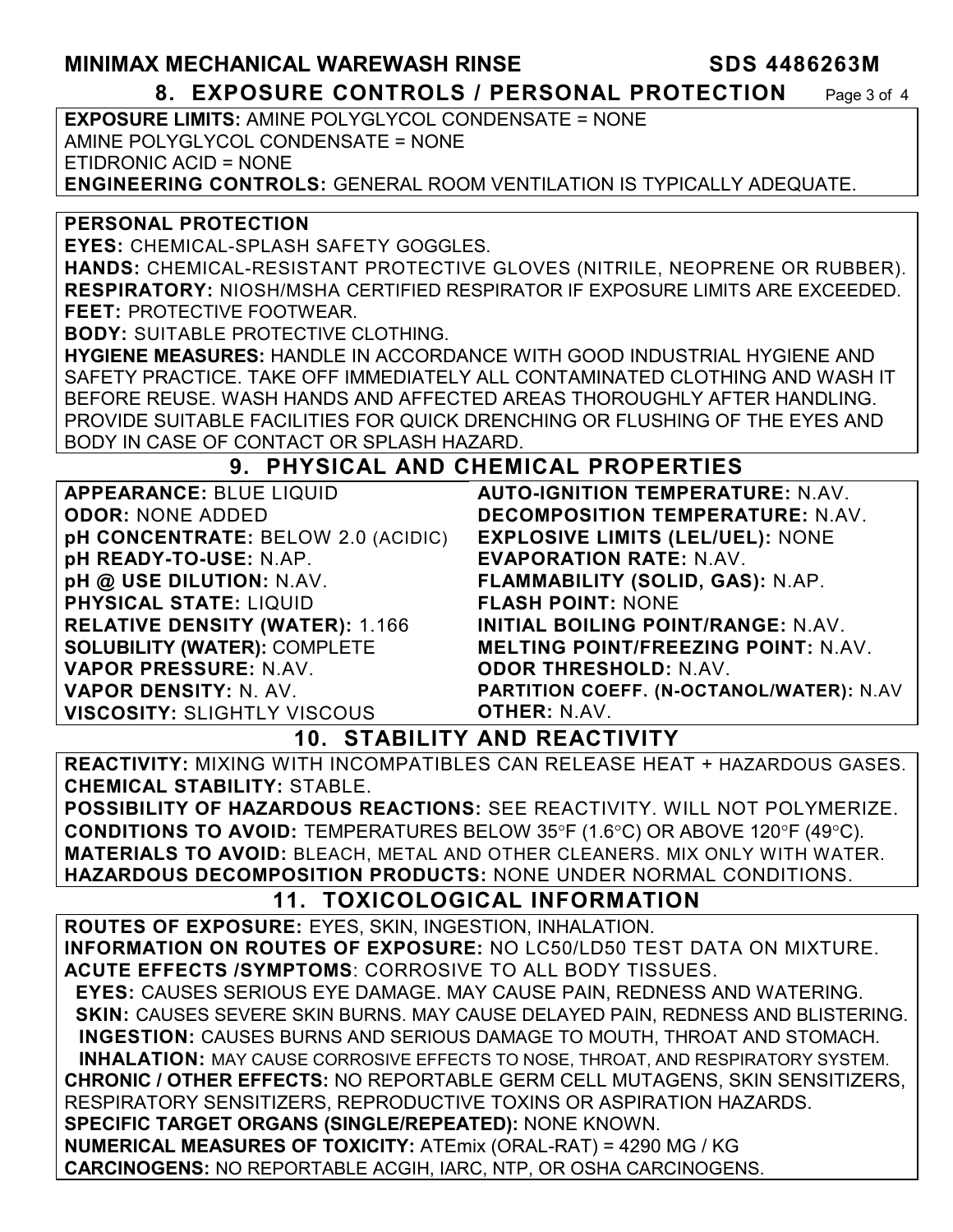### **MINIMAX MECHANICAL WAREWASH RINSE SDS 4486263M**

**8. EXPOSURE CONTROLS / PERSONAL PROTECTION** Page 3 of 4

**EXPOSURE LIMITS:** AMINE POLYGLYCOL CONDENSATE = NONE AMINE POLYGLYCOL CONDENSATE = NONE ETIDRONIC ACID = NONE **ENGINEERING CONTROLS:** GENERAL ROOM VENTILATION IS TYPICALLY ADEQUATE.

**PERSONAL PROTECTION** 

**EYES:** CHEMICAL-SPLASH SAFETY GOGGLES.

**HANDS:** CHEMICAL-RESISTANT PROTECTIVE GLOVES (NITRILE, NEOPRENE OR RUBBER). **RESPIRATORY:** NIOSH/MSHA CERTIFIED RESPIRATOR IF EXPOSURE LIMITS ARE EXCEEDED. **FEET:** PROTECTIVE FOOTWEAR.

**BODY:** SUITABLE PROTECTIVE CLOTHING.

**HYGIENE MEASURES:** HANDLE IN ACCORDANCE WITH GOOD INDUSTRIAL HYGIENE AND SAFETY PRACTICE. TAKE OFF IMMEDIATELY ALL CONTAMINATED CLOTHING AND WASH IT BEFORE REUSE. WASH HANDS AND AFFECTED AREAS THOROUGHLY AFTER HANDLING. PROVIDE SUITABLE FACILITIES FOR QUICK DRENCHING OR FLUSHING OF THE EYES AND BODY IN CASE OF CONTACT OR SPLASH HAZARD.

### **9. PHYSICAL AND CHEMICAL PROPERTIES**

| <b>APPEARANCE: BLUE LIQUID</b>         |
|----------------------------------------|
| <b>ODOR: NONE ADDED</b>                |
| pH CONCENTRATE: BELOW 2.0 (ACIDIC)     |
| pH READY-TO-USE: N.AP.                 |
| pH @ USE DILUTION: N.AV.               |
| <b>PHYSICAL STATE: LIQUID</b>          |
| <b>RELATIVE DENSITY (WATER): 1.166</b> |
| <b>SOLUBILITY (WATER): COMPLETE</b>    |
| VAPOR PRESSURE: N.AV.                  |
| <b>VAPOR DENSITY: N. AV.</b>           |
| <b>VISCOSITY: SLIGHTLY VISCOUS</b>     |

**AUTO-IGNITION TEMPERATURE:** N.AV. **DECOMPOSITION TEMPERATURE:** N.AV. **EXPLOSIVE LIMITS (LEL/UEL):** NONE **EVAPORATION RATE:** N.AV. **FLAMMABILITY (SOLID, GAS):** N.AP. **FLASH POINT:** NONE **INITIAL BOILING POINT/RANGE:** N.AV. **MELTING POINT/FREEZING POINT:** N.AV. **ODOR THRESHOLD:** N.AV. **PARTITION COEFF. (N-OCTANOL/WATER):** N.AV **OTHER:** N.AV.

**10. STABILITY AND REACTIVITY** 

**REACTIVITY:** MIXING WITH INCOMPATIBLES CAN RELEASE HEAT + HAZARDOUS GASES. **CHEMICAL STABILITY:** STABLE.

**POSSIBILITY OF HAZARDOUS REACTIONS:** SEE REACTIVITY. WILL NOT POLYMERIZE. **CONDITIONS TO AVOID:** TEMPERATURES BELOW 35°F (1.6°C) OR ABOVE 120°F (49°C). **MATERIALS TO AVOID:** BLEACH, METAL AND OTHER CLEANERS. MIX ONLY WITH WATER. **HAZARDOUS DECOMPOSITION PRODUCTS:** NONE UNDER NORMAL CONDITIONS.

### **11. TOXICOLOGICAL INFORMATION**

**ROUTES OF EXPOSURE:** EYES, SKIN, INGESTION, INHALATION. **INFORMATION ON ROUTES OF EXPOSURE:** NO LC50/LD50 TEST DATA ON MIXTURE. **ACUTE EFFECTS /SYMPTOMS**: CORROSIVE TO ALL BODY TISSUES.  **EYES:** CAUSES SERIOUS EYE DAMAGE. MAY CAUSE PAIN, REDNESS AND WATERING. **SKIN: CAUSES SEVERE SKIN BURNS. MAY CAUSE DELAYED PAIN, REDNESS AND BLISTERING. INGESTION:** CAUSES BURNS AND SERIOUS DAMAGE TO MOUTH, THROAT AND STOMACH. **INHALATION:** MAY CAUSE CORROSIVE EFFECTS TO NOSE, THROAT, AND RESPIRATORY SYSTEM. **CHRONIC / OTHER EFFECTS:** NO REPORTABLE GERM CELL MUTAGENS, SKIN SENSITIZERS, RESPIRATORY SENSITIZERS, REPRODUCTIVE TOXINS OR ASPIRATION HAZARDS. **SPECIFIC TARGET ORGANS (SINGLE/REPEATED):** NONE KNOWN. **NUMERICAL MEASURES OF TOXICITY:** ATEmix (ORAL-RAT) = 4290 MG / KG **CARCINOGENS:** NO REPORTABLE ACGIH, IARC, NTP, OR OSHA CARCINOGENS.